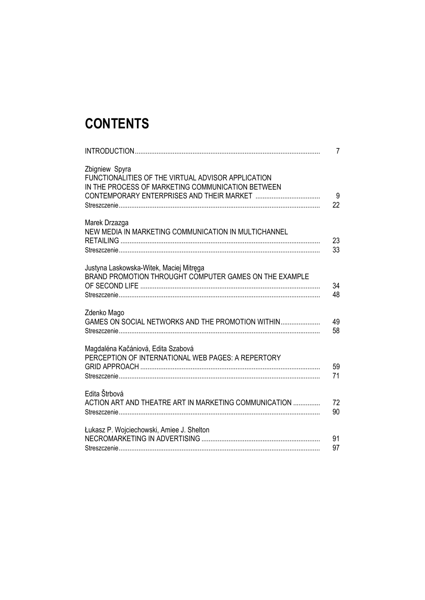## **CONTENTS**

|                                                                                                                           | $\overline{7}$ |
|---------------------------------------------------------------------------------------------------------------------------|----------------|
| Zbigniew Spyra<br>FUNCTIONALITIES OF THE VIRTUAL ADVISOR APPLICATION<br>IN THE PROCESS OF MARKETING COMMUNICATION BETWEEN | 9<br>22        |
| Marek Drzazga<br>NEW MEDIA IN MARKETING COMMUNICATION IN MULTICHANNEL                                                     | 23<br>33       |
| Justyna Laskowska-Witek, Maciej Mitręga<br>BRAND PROMOTION THROUGHT COMPUTER GAMES ON THE EXAMPLE                         | 34<br>48       |
| Zdenko Mago<br>GAMES ON SOCIAL NETWORKS AND THE PROMOTION WITHIN                                                          | 49<br>58       |
| Magdaléna Kačániová, Edita Szabová<br>PERCEPTION OF INTERNATIONAL WEB PAGES: A REPERTORY                                  | 59<br>71       |
| Edita Štrbová<br>ACTION ART AND THEATRE ART IN MARKETING COMMUNICATION                                                    | 72<br>90       |
| Łukasz P. Wojciechowski, Amiee J. Shelton                                                                                 | 91<br>97       |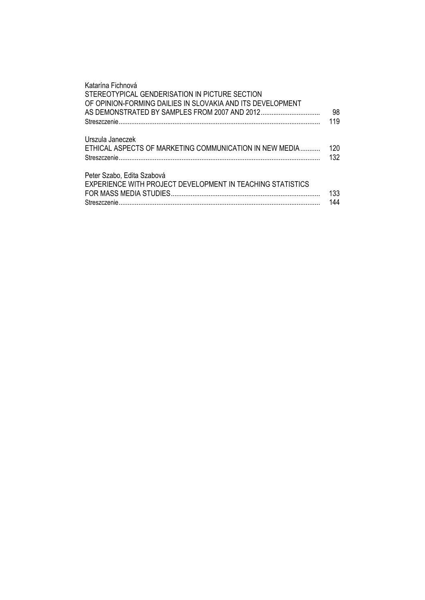| Katarína Fichnová<br>STEREOTYPICAL GENDERISATION IN PICTURE SECTION<br>OF OPINION-FORMING DAILIES IN SLOVAKIA AND ITS DEVELOPMENT | 98<br>119  |
|-----------------------------------------------------------------------------------------------------------------------------------|------------|
| Urszula Janeczek<br>ETHICAL ASPECTS OF MARKETING COMMUNICATION IN NEW MEDIA<br>Streszczenie                                       | 120<br>132 |
| Peter Szabo, Edita Szabová<br>EXPERIENCE WITH PROJECT DEVELOPMENT IN TEACHING STATISTICS                                          | 133<br>144 |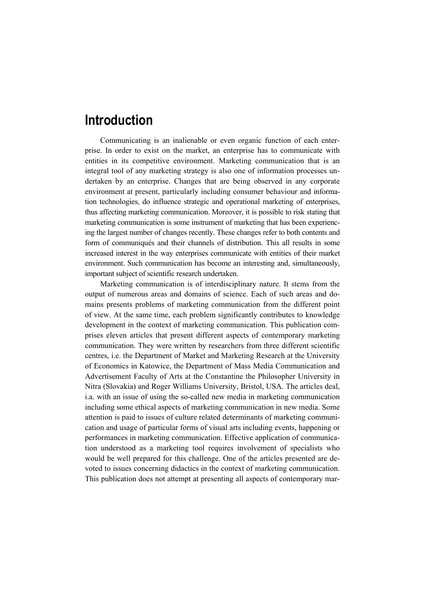## **Introduction**

Communicating is an inalienable or even organic function of each enterprise. In order to exist on the market, an enterprise has to communicate with entities in its competitive environment. Marketing communication that is an integral tool of any marketing strategy is also one of information processes undertaken by an enterprise. Changes that are being observed in any corporate environment at present, particularly including consumer behaviour and information technologies, do influence strategic and operational marketing of enterprises, thus affecting marketing communication. Moreover, it is possible to risk stating that marketing communication is some instrument of marketing that has been experiencing the largest number of changes recently. These changes refer to both contents and form of communiqués and their channels of distribution. This all results in some increased interest in the way enterprises communicate with entities of their market environment. Such communication has become an interesting and, simultaneously, important subject of scientific research undertaken.

Marketing communication is of interdisciplinary nature. It stems from the output of numerous areas and domains of science. Each of such areas and domains presents problems of marketing communication from the different point of view. At the same time, each problem significantly contributes to knowledge development in the context of marketing communication. This publication comprises eleven articles that present different aspects of contemporary marketing communication. They were written by researchers from three different scientific centres, i.e. the Department of Market and Marketing Research at the University of Economics in Katowice, the Department of Mass Media Communication and Advertisement Faculty of Arts at the Constantine the Philosopher University in Nitra (Slovakia) and Roger Williams University, Bristol, USA. The articles deal, i.a. with an issue of using the so-called new media in marketing communication including some ethical aspects of marketing communication in new media. Some attention is paid to issues of culture related determinants of marketing communication and usage of particular forms of visual arts including events, happening or performances in marketing communication. Effective application of communication understood as a marketing tool requires involvement of specialists who would be well prepared for this challenge. One of the articles presented are devoted to issues concerning didactics in the context of marketing communication. This publication does not attempt at presenting all aspects of contemporary mar